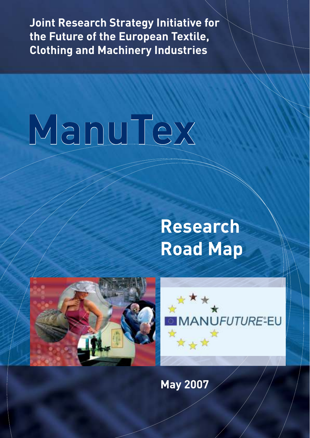**Joint Research Strategy Initiative for the Future of the European Textile, Clothing and Machinery Industries**

### **ManuTex**

### **Research Road Map**





#### **May 2007**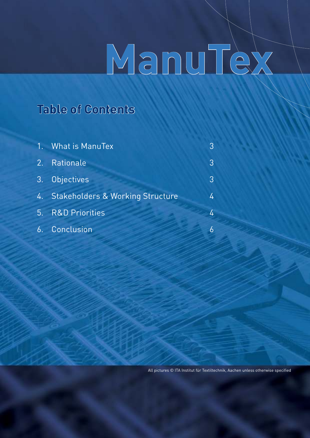#### **Table of Contents**

| 1. What is ManuTex                  |    |
|-------------------------------------|----|
| 2. Rationale                        | 3  |
| 3. Objectives                       | 3  |
| 4. Stakeholders & Working Structure | 4  |
| 5. R&D Priorities                   | 4. |
| 6. Conclusion                       |    |

All pictures  $\odot$  ITA Institut für Textiltechnik, Aachen unless otherwise specified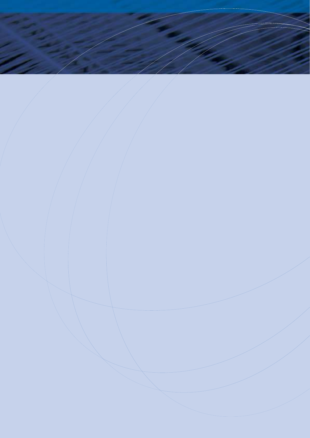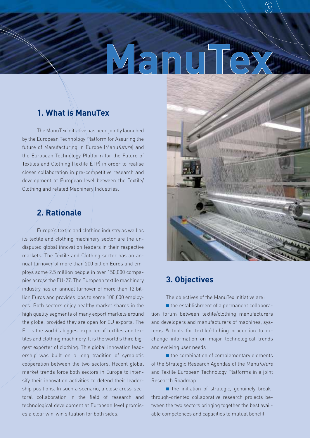#### **1. What is ManuTex**

The ManuTex initiative has been jointly launched by the European Technology Platform for Assuring the future of Manufacturing in Europe (Manufuture) and the European Technology Platform for the Future of Textiles and Clothing (Textile ETP) in order to realise closer collaboration in pre-competitive research and development at European level between the Textile/ Clothing and related Machinery Industries.

#### **2. Rationale**

Europe's textile and clothing industry as well as its textile and clothing machinery sector are the undisputed global innovation leaders in their respective markets. The Textile and Clothing sector has an annual turnover of more than 200 billion Euros and employs some 2.5 million people in over 150,000 companies across the EU-27. The European textile machinery industry has an annual turnover of more than 12 billion Euros and provides jobs to some 100,000 employees. Both sectors enjoy healthy market shares in the high quality segments of many export markets around the globe, provided they are open for EU exports. The EU is the world's biggest exporter of textiles and textiles and clothing machinery. It is the world's third biggest exporter of clothing. This global innovation leadership was built on a long tradition of symbiotic cooperation between the two sectors. Recent global market trends force both sectors in Europe to intensify their innovation activities to defend their leadership positions. In such a scenario, a close cross-sectoral collaboration in the field of research and technological development at European level promises a clear win-win situation for both sides.



#### **3. Objectives**

The objectives of the ManuTex initiative are:

■ the establishment of a permanent collaboration forum between textile/clothing manufacturers and developers and manufacturers of machines, systems & tools for textile/clothing production to exchange information on major technological trends and evolving user needs

■ the combination of complementary elements of the Strategic Research Agendas of the Manufuture and Textile European Technology Platforms in a joint Research Roadmap

■ the initiation of strategic, genuinely breakthrough-oriented collaborative research projects between the two sectors bringing together the best available competences and capacities to mutual benefit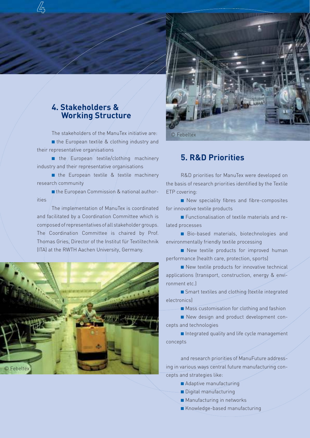#### **4. Stakeholders & Working Structure**

The stakeholders of the ManuTex initiative are:

■ the European textile & clothing industry and their representative organisations

 $\blacksquare$  the European textile/clothing machinery industry and their representative organisations

■ the European textile & textile machinery research community

■ the European Commission & national authorities

The implementation of ManuTex is coordinated and facilitated by a Coordination Committee which is composed of representatives of all stakeholder groups. The Coordination Committee is chaired by Prof. Thomas Gries, Director of the Institut für Textiltechnik (ITA) at the RWTH Aachen University, Germany.





#### **5. R&D Priorities**

R&D priorities for ManuTex were developed on the basis of research priorities identified by the Textile ETP covering:

■ New speciality fibres and fibre-composites for innovative textile products

■ Functionalisation of textile materials and related processes

■ Bio-based materials, biotechnologies and environmentally friendly textile processing

■ New textile products for improved human performance (health care, protection, sports)

■ New textile products for innovative technical applications (transport, construction, energy & environment etc.)

■ Smart textiles and clothing (textile integrated electronics)

■ Mass customisation for clothing and fashion

■ New design and product development concepts and technologies

■ Integrated quality and life cycle management concepts

and research priorities of ManuFuture addressing in various ways central future manufacturing concepts and strategies like:

- Adaptive manufacturing
- Digital manufacturing
- Manufacturing in networks
- Knowledge-based manufacturing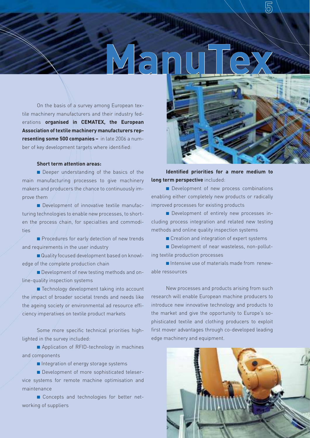On the basis of a survey among European textile machinery manufacturers and their industry federations **organised in CEMATEX, the European Association of textile machinery manufacturers representing some 500 companies –** in late 2006 a number of key development targets where identified:

#### **Short term attention areas:**

■ Deeper understanding of the basics of the main manufacturing processes to give machinery makers and producers the chance to continuously improve them

■ Development of innovative textile manufacturing technologies to enable new processes, to shorten the process chain, for specialties and commodities

■ Procedures for early detection of new trends and requirements in the user industry

■ Quality focused development based on knowledge of the complete production chain

■ Development of new testing methods and online-quality inspection systems

■ Technology development taking into account the impact of broader societal trends and needs like the ageing society or environmental ad resource efficiency imperatives on textile product markets

Some more specific technical priorities highlighted in the survey included:

■ Application of RFID-technology in machines and components

■ Integration of energy storage systems

■ Development of more sophisticated teleservice systems for remote machine optimisation and maintenance

■ Concepts and technologies for better networking of suppliers

**Identified priorities for a more medium to long term perspective** included:

■ Development of new process combinations enabling either completely new products or radically improved processes for existing products

■ Development of entirely new processes including process integration and related new testing methods and online quality inspection systems

■ Creation and integration of expert systems

■ Development of near wasteless, non-polluting textile production processes

■ Intensive use of materials made from renewable ressources

New processes and products arising from such research will enable European machine producers to introduce new innovative technology and products to the market and give the opportunity to Europe's sophisticated textile and clothing producers to exploit first mover advantages through co-developed leading edge machinery and equipment.

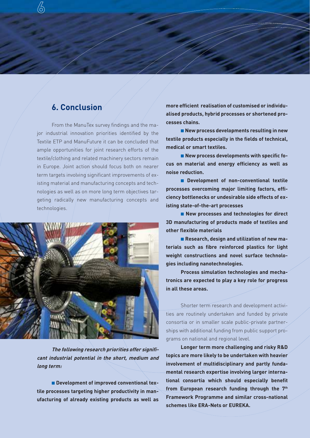#### **6. Conclusion**

From the ManuTex survey findings and the major industrial innovation priorities identified by the Textile ETP and ManuFuture it can be concluded that ample opportunities for joint research efforts of the textile/clothing and related machinery sectors remain in Europe. Joint action should focus both on nearer term targets involving significant improvements of existing material and manufacturing concepts and technologies as well as on more long term objectives targeting radically new manufacturing concepts and technologies.



**The following research priorities offer signifi cant industrial potential in the short, medium and long term:**

■ Development of improved conventional tex**tile processes targeting higher productivity in manufacturing of already existing products as well as** 

more efficient realisation of customised or individu**alised products, hybrid processes or shortened processes chains.**

■ **New process developments resulting in new** textile products especially in the fields of technical, **medical or smart textiles.**

**Example 3 New process developments with specific fo**cus on material and energy efficiency as well as **noise reduction.**

■ **Development of non-conventional textile** processes overcoming major limiting factors, effi**ciency bottlenecks or undesirable side effects of existing state-of-the-art processes**

■ **New processes and technologies for direct 3D manufacturing of products made of textiles and other fl exible materials** 

■ Research, design and utilization of new materials such as fibre reinforced plastics for light **weight constructions and novel surface technologies including nanotechnologies.**

**Process simulation technologies and mechatronics are expected to play a key role for progress in all these areas.**

Shorter term research and development activities are routinely undertaken and funded by private consortia or in smaller scale public-private partnerships with additional funding from public support programs on national and regional level.

**Longer term more challenging and risky R&D topics are more likely to be undertaken with heavier involvement of multidisciplinary and partly fundamental research expertise involving larger interna**tional consortia which should especially benefit **from European research funding through the 7th Framework Programme and similar cross-national schemes like ERA-Nets or EUREKA.**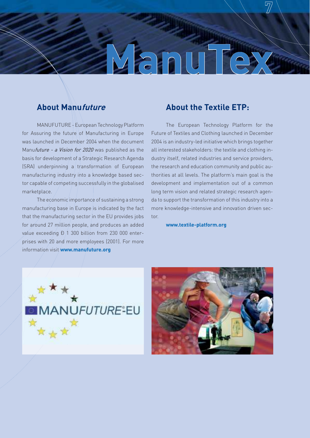#### **About Manufuture**

MANUFUTURE - European Technology Platform for Assuring the future of Manufacturing in Europe was launched in December 2004 when the document Manufuture - a Vision for 2020 was published as the basis for development of a Strategic Research Agenda (SRA) underpinning a transformation of European manufacturing industry into a knowledge based sector capable of competing successfully in the globalised marketplace.

The economic importance of sustaining a strong manufacturing base in Europe is indicated by the fact that the manufacturing sector in the EU provides jobs for around 27 million people, and produces an added value exceeding **Đ** 1 300 billion from 230 000 enterprises with 20 and more employees (2001). For more information visit **www.manufuture.org**

#### **About the Textile ETP:**

The European Technology Platform for the Future of Textiles and Clothing launched in December 2004 is an industry-led initiative which brings together all interested stakeholders: the textile and clothing industry itself, related industries and service providers, the research and education community and public authorities at all levels. The platform's main goal is the development and implementation out of a common long term vision and related strategic research agenda to support the transformation of this industry into a more knowledge-intensive and innovation driven sector.

**www.textile-platform.org** 



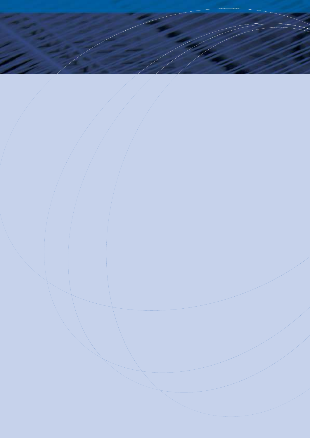